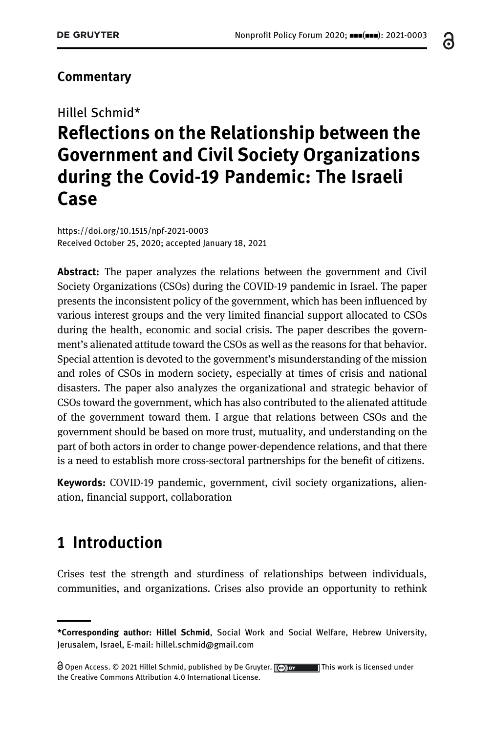6

#### **Commentary**

# Hillel Schmid\* Reflections on the Relationship between the Government and Civil Society Organizations during the Covid-19 Pandemic: The Israeli Case

<https://doi.org/10.1515/npf-2021-0003> Received October 25, 2020; accepted January 18, 2021

Abstract: The paper analyzes the relations between the government and Civil Society Organizations (CSOs) during the COVID-19 pandemic in Israel. The paper presents the inconsistent policy of the government, which has been influenced by various interest groups and the very limited financial support allocated to CSOs during the health, economic and social crisis. The paper describes the government's alienated attitude toward the CSOs as well as the reasons for that behavior. Special attention is devoted to the government's misunderstanding of the mission and roles of CSOs in modern society, especially at times of crisis and national disasters. The paper also analyzes the organizational and strategic behavior of CSOs toward the government, which has also contributed to the alienated attitude of the government toward them. I argue that relations between CSOs and the government should be based on more trust, mutuality, and understanding on the part of both actors in order to change power-dependence relations, and that there is a need to establish more cross-sectoral partnerships for the benefit of citizens.

Keywords: COVID-19 pandemic, government, civil society organizations, alienation, financial support, collaboration

### 1 Introduction

Crises test the strength and sturdiness of relationships between individuals, communities, and organizations. Crises also provide an opportunity to rethink

<sup>\*</sup>Corresponding author: Hillel Schmid, Social Work and Social Welfare, Hebrew University, Jerusalem, Israel, E-mail: [hillel.schmid@gmail.com](mailto:hillel.schmid@gmail.com)

 $\bigcirc$  Open Access. © 2021 Hillel Schmid, published by De Gruyter.  $\bigcirc$  are all this work is licensed under the Creative Commons Attribution 4.0 International License.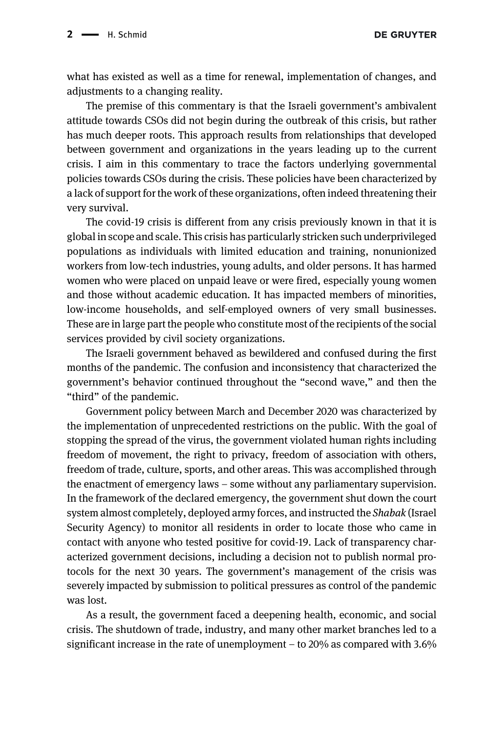**DE GRUYTER** 

what has existed as well as a time for renewal, implementation of changes, and adjustments to a changing reality.

The premise of this commentary is that the Israeli government's ambivalent attitude towards CSOs did not begin during the outbreak of this crisis, but rather has much deeper roots. This approach results from relationships that developed between government and organizations in the years leading up to the current crisis. I aim in this commentary to trace the factors underlying governmental policies towards CSOs during the crisis. These policies have been characterized by a lack of support for the work of these organizations, often indeed threatening their very survival.

The covid-19 crisis is different from any crisis previously known in that it is global in scope and scale. This crisis has particularly stricken such underprivileged populations as individuals with limited education and training, nonunionized workers from low-tech industries, young adults, and older persons. It has harmed women who were placed on unpaid leave or were fired, especially young women and those without academic education. It has impacted members of minorities, low-income households, and self-employed owners of very small businesses. These are in large part the people who constitute most of the recipients of the social services provided by civil society organizations.

The Israeli government behaved as bewildered and confused during the first months of the pandemic. The confusion and inconsistency that characterized the government's behavior continued throughout the "second wave," and then the "third" of the pandemic.

Government policy between March and December 2020 was characterized by the implementation of unprecedented restrictions on the public. With the goal of stopping the spread of the virus, the government violated human rights including freedom of movement, the right to privacy, freedom of association with others, freedom of trade, culture, sports, and other areas. This was accomplished through the enactment of emergency laws – some without any parliamentary supervision. In the framework of the declared emergency, the government shut down the court system almost completely, deployed army forces, and instructed the Shabak (Israel Security Agency) to monitor all residents in order to locate those who came in contact with anyone who tested positive for covid-19. Lack of transparency characterized government decisions, including a decision not to publish normal protocols for the next 30 years. The government's management of the crisis was severely impacted by submission to political pressures as control of the pandemic was lost.

As a result, the government faced a deepening health, economic, and social crisis. The shutdown of trade, industry, and many other market branches led to a significant increase in the rate of unemployment – to 20% as compared with 3.6%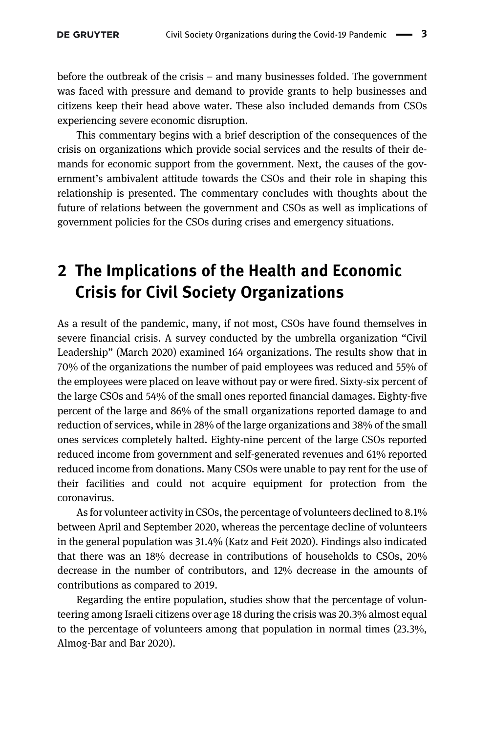before the outbreak of the crisis – and many businesses folded. The government was faced with pressure and demand to provide grants to help businesses and citizens keep their head above water. These also included demands from CSOs experiencing severe economic disruption.

This commentary begins with a brief description of the consequences of the crisis on organizations which provide social services and the results of their demands for economic support from the government. Next, the causes of the government's ambivalent attitude towards the CSOs and their role in shaping this relationship is presented. The commentary concludes with thoughts about the future of relations between the government and CSOs as well as implications of government policies for the CSOs during crises and emergency situations.

## 2 The Implications of the Health and Economic Crisis for Civil Society Organizations

As a result of the pandemic, many, if not most, CSOs have found themselves in severe financial crisis. A survey conducted by the umbrella organization "Civil Leadership" (March [2020\)](#page-8-0) examined 164 organizations. The results show that in 70% of the organizations the number of paid employees was reduced and 55% of the employees were placed on leave without pay or were fired. Sixty-six percent of the large CSOs and 54% of the small ones reported financial damages. Eighty-five percent of the large and 86% of the small organizations reported damage to and reduction of services, while in 28% of the large organizations and 38% of the small ones services completely halted. Eighty-nine percent of the large CSOs reported reduced income from government and self-generated revenues and 61% reported reduced income from donations. Many CSOs were unable to pay rent for the use of their facilities and could not acquire equipment for protection from the coronavirus.

As for volunteer activity in CSOs, the percentage of volunteers declined to 8.1% between April and September 2020, whereas the percentage decline of volunteers in the general population was 31.4% [\(Katz and Feit 2020\)](#page-8-1). Findings also indicated that there was an 18% decrease in contributions of households to CSOs, 20% decrease in the number of contributors, and 12% decrease in the amounts of contributions as compared to 2019.

Regarding the entire population, studies show that the percentage of volunteering among Israeli citizens over age 18 during the crisis was 20.3% almost equal to the percentage of volunteers among that population in normal times (23.3%, [Almog-Bar and Bar 2020\)](#page-7-0).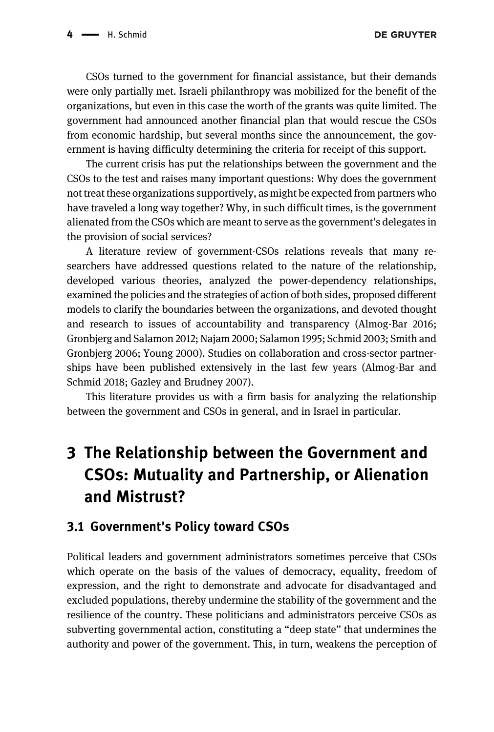CSOs turned to the government for financial assistance, but their demands were only partially met. Israeli philanthropy was mobilized for the benefit of the organizations, but even in this case the worth of the grants was quite limited. The government had announced another financial plan that would rescue the CSOs from economic hardship, but several months since the announcement, the government is having difficulty determining the criteria for receipt of this support.

The current crisis has put the relationships between the government and the CSOs to the test and raises many important questions: Why does the government not treat these organizations supportively, as might be expected from partners who have traveled a long way together? Why, in such difficult times, is the government alienated from the CSOs which are meant to serve as the government's delegates in the provision of social services?

A literature review of government-CSOs relations reveals that many researchers have addressed questions related to the nature of the relationship, developed various theories, analyzed the power-dependency relationships, examined the policies and the strategies of action of both sides, proposed different models to clarify the boundaries between the organizations, and devoted thought and research to issues of accountability and transparency ([Almog-Bar 2016;](#page-7-1) [Gronbjerg and Salamon 2012; Najam 2000; Salamon 1995; Schmid 2003; Smith and](#page-7-1) [Gronbjerg 2006; Young 2000\)](#page-7-1). Studies on collaboration and cross-sector partnerships have been published extensively in the last few years ([Almog-Bar and](#page-7-2) [Schmid 2018; Gazley and Brudney 2007](#page-7-2)).

This literature provides us with a firm basis for analyzing the relationship between the government and CSOs in general, and in Israel in particular.

## 3 The Relationship between the Government and CSOs: Mutuality and Partnership, or Alienation and Mistrust?

#### 3.1 Government's Policy toward CSOs

Political leaders and government administrators sometimes perceive that CSOs which operate on the basis of the values of democracy, equality, freedom of expression, and the right to demonstrate and advocate for disadvantaged and excluded populations, thereby undermine the stability of the government and the resilience of the country. These politicians and administrators perceive CSOs as subverting governmental action, constituting a "deep state" that undermines the authority and power of the government. This, in turn, weakens the perception of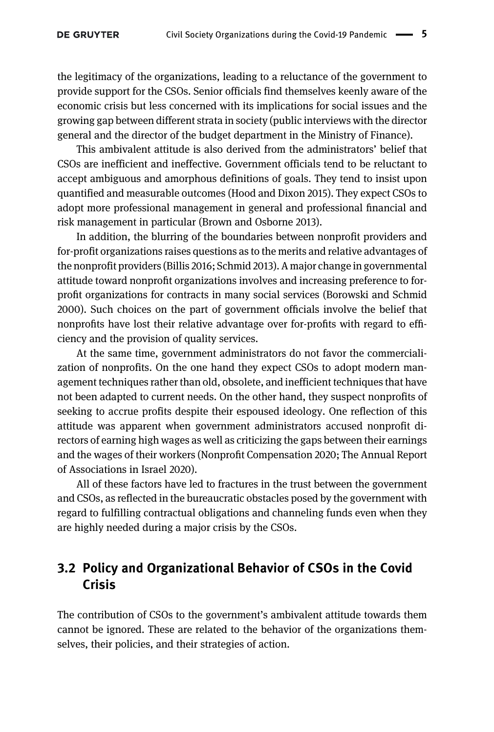the legitimacy of the organizations, leading to a reluctance of the government to provide support for the CSOs. Senior officials find themselves keenly aware of the economic crisis but less concerned with its implications for social issues and the growing gap between different strata in society (public interviews with the director general and the director of the budget department in the Ministry of Finance).

This ambivalent attitude is also derived from the administrators' belief that CSOs are inefficient and ineffective. Government officials tend to be reluctant to accept ambiguous and amorphous definitions of goals. They tend to insist upon quantified and measurable outcomes ([Hood and Dixon 2015](#page-8-2)). They expect CSOs to adopt more professional management in general and professional financial and risk management in particular ([Brown and Osborne 2013](#page-8-3)).

In addition, the blurring of the boundaries between nonprofit providers and for-profit organizations raises questions as to the merits and relative advantages of the nonprofit providers [\(Billis 2016; Schmid 2013\)](#page-7-3). A major change in governmental attitude toward nonprofit organizations involves and increasing preference to forprofit organizations for contracts in many social services [\(Borowski and Schmid](#page-8-4) [2000](#page-8-4)). Such choices on the part of government officials involve the belief that nonprofits have lost their relative advantage over for-profits with regard to efficiency and the provision of quality services.

At the same time, government administrators do not favor the commercialization of nonprofits. On the one hand they expect CSOs to adopt modern management techniques rather than old, obsolete, and inefficient techniques that have not been adapted to current needs. On the other hand, they suspect nonprofits of seeking to accrue profits despite their espoused ideology. One reflection of this attitude was apparent when government administrators accused nonprofit directors of earning high wages as well as criticizing the gaps between their earnings and the wages of their workers (Nonprofi[t Compensation 2020; The Annual Report](#page-8-5) [of Associations in Israel 2020\)](#page-8-5).

All of these factors have led to fractures in the trust between the government and CSOs, as reflected in the bureaucratic obstacles posed by the government with regard to fulfilling contractual obligations and channeling funds even when they are highly needed during a major crisis by the CSOs.

#### 3.2 Policy and Organizational Behavior of CSOs in the Covid Crisis

The contribution of CSOs to the government's ambivalent attitude towards them cannot be ignored. These are related to the behavior of the organizations themselves, their policies, and their strategies of action.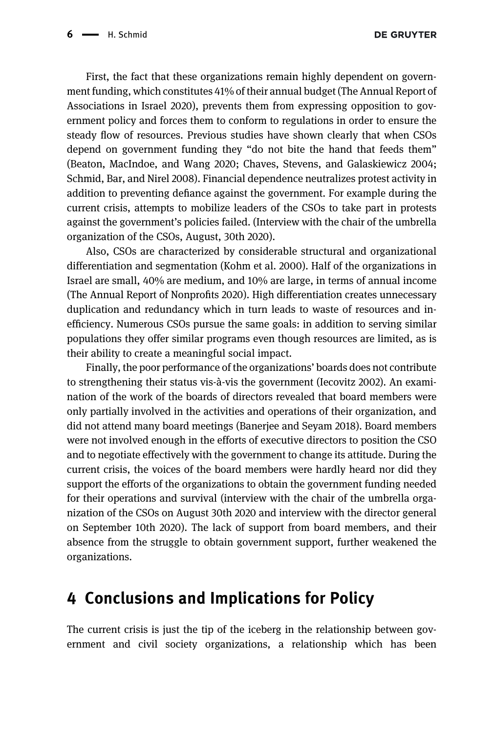First, the fact that these organizations remain highly dependent on government funding, which constitutes 41% of their annual budget [\(The Annual Report of](#page-8-6) [Associations in Israel 2020\)](#page-8-6), prevents them from expressing opposition to government policy and forces them to conform to regulations in order to ensure the steady flow of resources. Previous studies have shown clearly that when CSOs depend on government funding they "do not bite the hand that feeds them" ([Beaton, MacIndoe, and Wang 2020; Chaves, Stevens, and Galaskiewicz 2004;](#page-7-4) [Schmid, Bar, and Nirel 2008\)](#page-7-4). Financial dependence neutralizes protest activity in addition to preventing defiance against the government. For example during the current crisis, attempts to mobilize leaders of the CSOs to take part in protests against the government's policies failed. (Interview with the chair of the umbrella organization of the CSOs, August, 30th 2020).

Also, CSOs are characterized by considerable structural and organizational differentiation and segmentation [\(Kohm et al. 2000\)](#page-8-7). Half of the organizations in Israel are small, 40% are medium, and 10% are large, in terms of annual income ([The Annual Report of Nonpro](#page-8-6)fits 2020). High differentiation creates unnecessary duplication and redundancy which in turn leads to waste of resources and inefficiency. Numerous CSOs pursue the same goals: in addition to serving similar populations they offer similar programs even though resources are limited, as is their ability to create a meaningful social impact.

Finally, the poor performance of the organizations' boards does not contribute to strengthening their status vis-à-vis the government ([Iecovitz 2002\)](#page-8-8). An examination of the work of the boards of directors revealed that board members were only partially involved in the activities and operations of their organization, and did not attend many board meetings ([Banerjee and Seyam 2018](#page-7-5)). Board members were not involved enough in the efforts of executive directors to position the CSO and to negotiate effectively with the government to change its attitude. During the current crisis, the voices of the board members were hardly heard nor did they support the efforts of the organizations to obtain the government funding needed for their operations and survival (interview with the chair of the umbrella organization of the CSOs on August 30th 2020 and interview with the director general on September 10th 2020). The lack of support from board members, and their absence from the struggle to obtain government support, further weakened the organizations.

#### 4 Conclusions and Implications for Policy

The current crisis is just the tip of the iceberg in the relationship between government and civil society organizations, a relationship which has been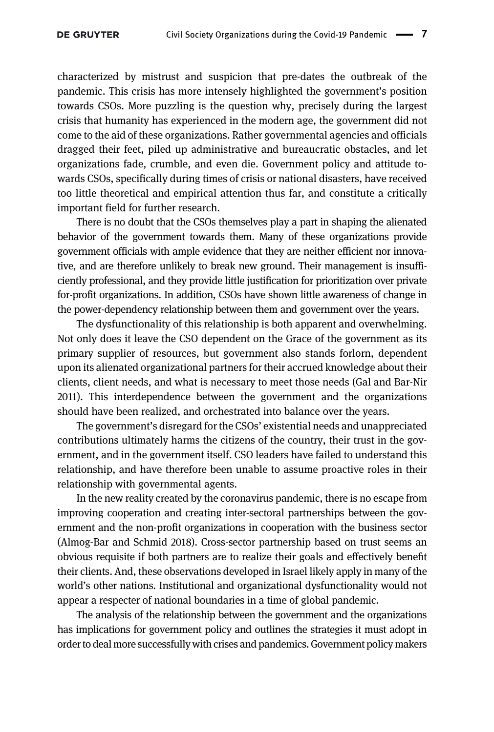characterized by mistrust and suspicion that pre-dates the outbreak of the pandemic. This crisis has more intensely highlighted the government's position towards CSOs. More puzzling is the question why, precisely during the largest crisis that humanity has experienced in the modern age, the government did not come to the aid of these organizations. Rather governmental agencies and officials dragged their feet, piled up administrative and bureaucratic obstacles, and let organizations fade, crumble, and even die. Government policy and attitude towards CSOs, specifically during times of crisis or national disasters, have received too little theoretical and empirical attention thus far, and constitute a critically important field for further research.

There is no doubt that the CSOs themselves play a part in shaping the alienated behavior of the government towards them. Many of these organizations provide government officials with ample evidence that they are neither efficient nor innovative, and are therefore unlikely to break new ground. Their management is insufficiently professional, and they provide little justification for prioritization over private for-profit organizations. In addition, CSOs have shown little awareness of change in the power-dependency relationship between them and government over the years.

The dysfunctionality of this relationship is both apparent and overwhelming. Not only does it leave the CSO dependent on the Grace of the government as its primary supplier of resources, but government also stands forlorn, dependent upon its alienated organizational partners for their accrued knowledge about their clients, client needs, and what is necessary to meet those needs [\(Gal and Bar-Nir](#page-8-9) [2011](#page-8-9)). This interdependence between the government and the organizations should have been realized, and orchestrated into balance over the years.

The government's disregard for the CSOs' existential needs and unappreciated contributions ultimately harms the citizens of the country, their trust in the government, and in the government itself. CSO leaders have failed to understand this relationship, and have therefore been unable to assume proactive roles in their relationship with governmental agents.

In the new reality created by the coronavirus pandemic, there is no escape from improving cooperation and creating inter-sectoral partnerships between the government and the non-profit organizations in cooperation with the business sector [\(Almog-Bar and Schmid 2018](#page-7-2)). Cross-sector partnership based on trust seems an obvious requisite if both partners are to realize their goals and effectively benefit their clients. And, these observations developed in Israel likely apply in many of the world's other nations. Institutional and organizational dysfunctionality would not appear a respecter of national boundaries in a time of global pandemic.

The analysis of the relationship between the government and the organizations has implications for government policy and outlines the strategies it must adopt in order to deal more successfully with crises and pandemics. Government policy makers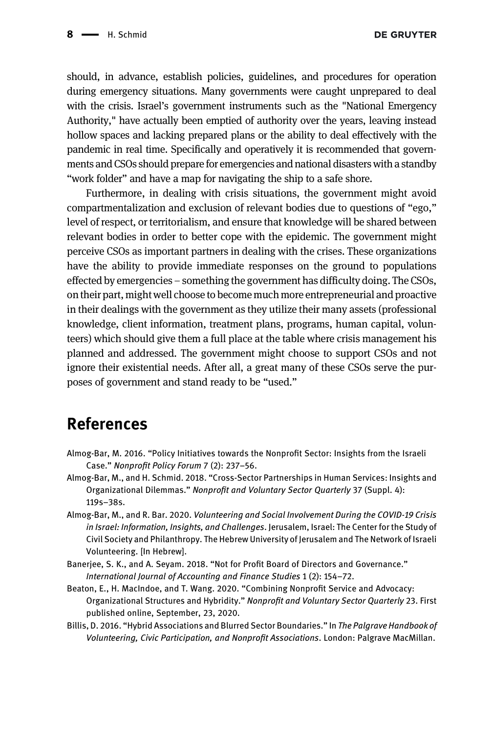should, in advance, establish policies, guidelines, and procedures for operation during emergency situations. Many governments were caught unprepared to deal with the crisis. Israel's government instruments such as the "National Emergency Authority," have actually been emptied of authority over the years, leaving instead hollow spaces and lacking prepared plans or the ability to deal effectively with the pandemic in real time. Specifically and operatively it is recommended that governments and CSOs should prepare for emergencies and national disasters with a standby "work folder" and have a map for navigating the ship to a safe shore.

Furthermore, in dealing with crisis situations, the government might avoid compartmentalization and exclusion of relevant bodies due to questions of "ego," level of respect, or territorialism, and ensure that knowledge will be shared between relevant bodies in order to better cope with the epidemic. The government might perceive CSOs as important partners in dealing with the crises. These organizations have the ability to provide immediate responses on the ground to populations effected by emergencies – something the government has difficulty doing. The CSOs, on their part, might well choose to become much more entrepreneurial and proactive in their dealings with the government as they utilize their many assets (professional knowledge, client information, treatment plans, programs, human capital, volunteers) which should give them a full place at the table where crisis management his planned and addressed. The government might choose to support CSOs and not ignore their existential needs. After all, a great many of these CSOs serve the purposes of government and stand ready to be "used."

### References

- <span id="page-7-1"></span>Almog-Bar, M. 2016. "Policy Initiatives towards the Nonprofit Sector: Insights from the Israeli Case." Nonprofit Policy Forum 7 (2): 237–56.
- <span id="page-7-2"></span>Almog-Bar, M., and H. Schmid. 2018. "Cross-Sector Partnerships in Human Services: Insights and Organizational Dilemmas." Nonprofit and Voluntary Sector Quarterly 37 (Suppl. 4): 119s–38s.
- <span id="page-7-0"></span>Almog-Bar, M., and R. Bar. 2020. Volunteering and Social Involvement During the COVID-19 Crisis in Israel: Information, Insights, and Challenges. Jerusalem, Israel: The Center for the Study of Civil Society and Philanthropy. The Hebrew University of Jerusalem and The Network of Israeli Volunteering. [In Hebrew].
- <span id="page-7-5"></span>Banerjee, S. K., and A. Seyam. 2018. "Not for Profit Board of Directors and Governance." International Journal of Accounting and Finance Studies 1 (2): 154–72.
- <span id="page-7-4"></span>Beaton, E., H. MacIndoe, and T. Wang. 2020. "Combining Nonprofit Service and Advocacy: Organizational Structures and Hybridity." Nonprofit and Voluntary Sector Quarterly 23. First published online, September, 23, 2020.
- <span id="page-7-3"></span>Billis, D. 2016. "Hybrid Associations and Blurred Sector Boundaries." In The Palgrave Handbook of Volunteering, Civic Participation, and Nonprofit Associations. London: Palgrave MacMillan.